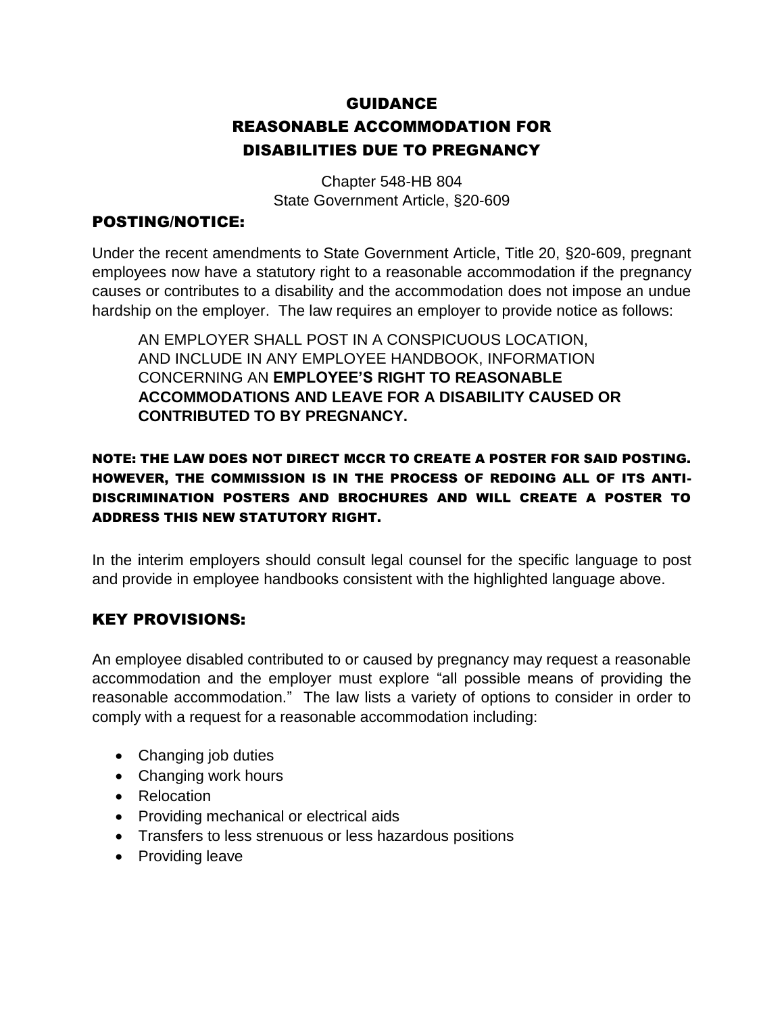# GUIDANCE REASONABLE ACCOMMODATION FOR DISABILITIES DUE TO PREGNANCY

Chapter 548-HB 804 State Government Article, §20-609

#### POSTING/NOTICE:

Under the recent amendments to State Government Article, Title 20, §20-609, pregnant employees now have a statutory right to a reasonable accommodation if the pregnancy causes or contributes to a disability and the accommodation does not impose an undue hardship on the employer. The law requires an employer to provide notice as follows:

AN EMPLOYER SHALL POST IN A CONSPICUOUS LOCATION, AND INCLUDE IN ANY EMPLOYEE HANDBOOK, INFORMATION CONCERNING AN **EMPLOYEE'S RIGHT TO REASONABLE ACCOMMODATIONS AND LEAVE FOR A DISABILITY CAUSED OR CONTRIBUTED TO BY PREGNANCY.**

### NOTE: THE LAW DOES NOT DIRECT MCCR TO CREATE A POSTER FOR SAID POSTING. HOWEVER, THE COMMISSION IS IN THE PROCESS OF REDOING ALL OF ITS ANTI-DISCRIMINATION POSTERS AND BROCHURES AND WILL CREATE A POSTER TO ADDRESS THIS NEW STATUTORY RIGHT.

In the interim employers should consult legal counsel for the specific language to post and provide in employee handbooks consistent with the highlighted language above.

## KEY PROVISIONS:

An employee disabled contributed to or caused by pregnancy may request a reasonable accommodation and the employer must explore "all possible means of providing the reasonable accommodation." The law lists a variety of options to consider in order to comply with a request for a reasonable accommodation including:

- Changing job duties
- Changing work hours
- Relocation
- Providing mechanical or electrical aids
- Transfers to less strenuous or less hazardous positions
- Providing leave